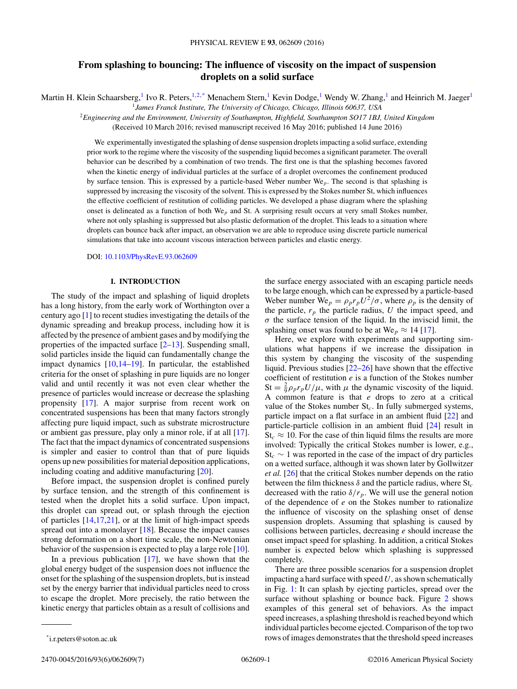# **From splashing to bouncing: The influence of viscosity on the impact of suspension droplets on a solid surface**

Martin H. Klein Schaarsberg,<sup>1</sup> Ivo R. Peters,<sup>1,2,\*</sup> Menachem Stern,<sup>1</sup> Kevin Dodge,<sup>1</sup> Wendy W. Zhang,<sup>1</sup> and Heinrich M. Jaeger<sup>1</sup>

<sup>1</sup>*James Franck Institute, The University of Chicago, Chicago, Illinois 60637, USA*

<sup>2</sup>*Engineering and the Environment, University of Southampton, Highfield, Southampton SO17 1BJ, United Kingdom*

(Received 10 March 2016; revised manuscript received 16 May 2016; published 14 June 2016)

We experimentally investigated the splashing of dense suspension droplets impacting a solid surface, extending prior work to the regime where the viscosity of the suspending liquid becomes a significant parameter. The overall behavior can be described by a combination of two trends. The first one is that the splashing becomes favored when the kinetic energy of individual particles at the surface of a droplet overcomes the confinement produced by surface tension. This is expressed by a particle-based Weber number We*p*. The second is that splashing is suppressed by increasing the viscosity of the solvent. This is expressed by the Stokes number St, which influences the effective coefficient of restitution of colliding particles. We developed a phase diagram where the splashing onset is delineated as a function of both We*<sup>p</sup>* and St. A surprising result occurs at very small Stokes number, where not only splashing is suppressed but also plastic deformation of the droplet. This leads to a situation where droplets can bounce back after impact, an observation we are able to reproduce using discrete particle numerical simulations that take into account viscous interaction between particles and elastic energy.

DOI: [10.1103/PhysRevE.93.062609](http://dx.doi.org/10.1103/PhysRevE.93.062609)

## **I. INTRODUCTION**

The study of the impact and splashing of liquid droplets has a long history, from the early work of Worthington over a century ago [\[1\]](#page-6-0) to recent studies investigating the details of the dynamic spreading and breakup process, including how it is affected by the presence of ambient gases and by modifying the properties of the impacted surface  $[2-13]$ . Suspending small, solid particles inside the liquid can fundamentally change the impact dynamics [\[10,14–19\]](#page-6-0). In particular, the established criteria for the onset of splashing in pure liquids are no longer valid and until recently it was not even clear whether the presence of particles would increase or decrease the splashing propensity [\[17\]](#page-6-0). A major surprise from recent work on concentrated suspensions has been that many factors strongly affecting pure liquid impact, such as substrate microstructure or ambient gas pressure, play only a minor role, if at all [\[17\]](#page-6-0). The fact that the impact dynamics of concentrated suspensions is simpler and easier to control than that of pure liquids opens up new possibilities for material deposition applications, including coating and additive manufacturing [\[20\]](#page-6-0).

Before impact, the suspension droplet is confined purely by surface tension, and the strength of this confinement is tested when the droplet hits a solid surface. Upon impact, this droplet can spread out, or splash through the ejection of particles  $[14,17,21]$ , or at the limit of high-impact speeds spread out into a monolayer  $[18]$ . Because the impact causes strong deformation on a short time scale, the non-Newtonian behavior of the suspension is expected to play a large role [\[10\]](#page-6-0).

In a previous publication  $[17]$ , we have shown that the global energy budget of the suspension does not influence the onset for the splashing of the suspension droplets, but is instead set by the energy barrier that individual particles need to cross to escape the droplet. More precisely, the ratio between the kinetic energy that particles obtain as a result of collisions and

the surface energy associated with an escaping particle needs to be large enough, which can be expressed by a particle-based Weber number  $\text{We}_p = \rho_p r_p U^2 / \sigma$ , where  $\rho_p$  is the density of the particle,  $r_p$  the particle radius,  $U$  the impact speed, and *σ* the surface tension of the liquid. In the inviscid limit, the splashing onset was found to be at We<sub>p</sub>  $\approx$  14 [\[17\]](#page-6-0).

Here, we explore with experiments and supporting simulations what happens if we increase the dissipation in this system by changing the viscosity of the suspending liquid. Previous studies [\[22–26\]](#page-6-0) have shown that the effective coefficient of restitution *e* is a function of the Stokes number  $St = \frac{2}{9} \rho_p r_p U / \mu$ , with  $\mu$  the dynamic viscosity of the liquid. A common feature is that *e* drops to zero at a critical value of the Stokes number St*c*. In fully submerged systems, particle impact on a flat surface in an ambient fluid [\[22\]](#page-6-0) and particle-particle collision in an ambient fluid [\[24\]](#page-6-0) result in  $St_c \approx 10$ . For the case of thin liquid films the results are more involved: Typically the critical Stokes number is lower, e.g., St*<sup>c</sup>* ∼ 1 was reported in the case of the impact of dry particles on a wetted surface, although it was shown later by Gollwitzer *et al.* [\[26\]](#page-6-0) that the critical Stokes number depends on the ratio between the film thickness  $\delta$  and the particle radius, where  $St_c$ decreased with the ratio  $\delta/r_p$ . We will use the general notion of the dependence of *e* on the Stokes number to rationalize the influence of viscosity on the splashing onset of dense suspension droplets. Assuming that splashing is caused by collisions between particles, decreasing *e* should increase the onset impact speed for splashing. In addition, a critical Stokes number is expected below which splashing is suppressed completely.

There are three possible scenarios for a suspension droplet impacting a hard surface with speed *U,* as shown schematically in Fig. [1:](#page-1-0) It can splash by ejecting particles, spread over the surface without splashing or bounce back. Figure [2](#page-1-0) shows examples of this general set of behaviors. As the impact speed increases, a splashing threshold is reached beyond which individual particles become ejected. Comparison of the top two rows of images demonstrates that the threshold speed increases

<sup>\*</sup>i.r.peters@soton.ac.uk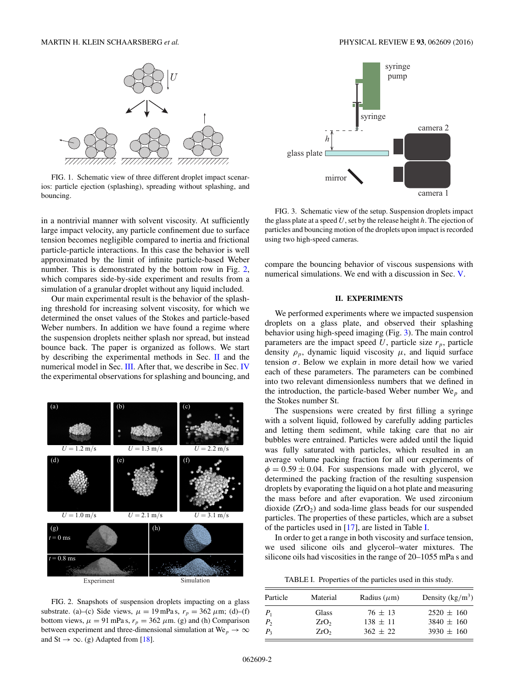<span id="page-1-0"></span>

FIG. 1. Schematic view of three different droplet impact scenarios: particle ejection (splashing), spreading without splashing, and bouncing.

in a nontrivial manner with solvent viscosity. At sufficiently large impact velocity, any particle confinement due to surface tension becomes negligible compared to inertia and frictional particle-particle interactions. In this case the behavior is well approximated by the limit of infinite particle-based Weber number. This is demonstrated by the bottom row in Fig. 2, which compares side-by-side experiment and results from a simulation of a granular droplet without any liquid included.

Our main experimental result is the behavior of the splashing threshold for increasing solvent viscosity, for which we determined the onset values of the Stokes and particle-based Weber numbers. In addition we have found a regime where the suspension droplets neither splash nor spread, but instead bounce back. The paper is organized as follows. We start by describing the experimental methods in Sec. II and the numerical model in Sec. [III.](#page-2-0) After that, we describe in Sec. [IV](#page-2-0) the experimental observations for splashing and bouncing, and



FIG. 2. Snapshots of suspension droplets impacting on a glass substrate. (a)–(c) Side views,  $\mu = 19$  mPa s,  $r_p = 362 \mu$ m; (d)–(f) bottom views,  $\mu = 91$  mPa s,  $r_p = 362 \mu$ m. (g) and (h) Comparison between experiment and three-dimensional simulation at  $We_p \to \infty$ and St  $\rightarrow \infty$ . (g) Adapted from [\[18\]](#page-6-0).



FIG. 3. Schematic view of the setup. Suspension droplets impact the glass plate at a speed *U*, set by the release height *h*. The ejection of particles and bouncing motion of the droplets upon impact is recorded using two high-speed cameras.

compare the bouncing behavior of viscous suspensions with numerical simulations. We end with a discussion in Sec. [V.](#page-4-0)

## **II. EXPERIMENTS**

We performed experiments where we impacted suspension droplets on a glass plate, and observed their splashing behavior using high-speed imaging (Fig. 3). The main control parameters are the impact speed  $U$ , particle size  $r_p$ , particle density  $\rho_p$ , dynamic liquid viscosity  $\mu$ , and liquid surface tension  $\sigma$ . Below we explain in more detail how we varied each of these parameters. The parameters can be combined into two relevant dimensionless numbers that we defined in the introduction, the particle-based Weber number We*<sup>p</sup>* and the Stokes number St.

The suspensions were created by first filling a syringe with a solvent liquid, followed by carefully adding particles and letting them sediment, while taking care that no air bubbles were entrained. Particles were added until the liquid was fully saturated with particles, which resulted in an average volume packing fraction for all our experiments of  $\phi = 0.59 \pm 0.04$ . For suspensions made with glycerol, we determined the packing fraction of the resulting suspension droplets by evaporating the liquid on a hot plate and measuring the mass before and after evaporation. We used zirconium dioxide  $(ZrO<sub>2</sub>)$  and soda-lime glass beads for our suspended particles. The properties of these particles, which are a subset of the particles used in [\[17\]](#page-6-0), are listed in Table I.

In order to get a range in both viscosity and surface tension, we used silicone oils and glycerol–water mixtures. The silicone oils had viscosities in the range of 20–1055 mPa s and

TABLE I. Properties of the particles used in this study.

| Particle | Material         | Radius $(\mu m)$ | Density $(kg/m^3)$ |
|----------|------------------|------------------|--------------------|
| $P_1$    | Glass            | $76 \pm 13$      | $2520 \pm 160$     |
| $P_{2}$  | ZrO <sub>2</sub> | $138 \pm 11$     | $3840 \pm 160$     |
| $P_{3}$  | ZrO <sub>2</sub> | $362 \pm 22$     | $3930 \pm 160$     |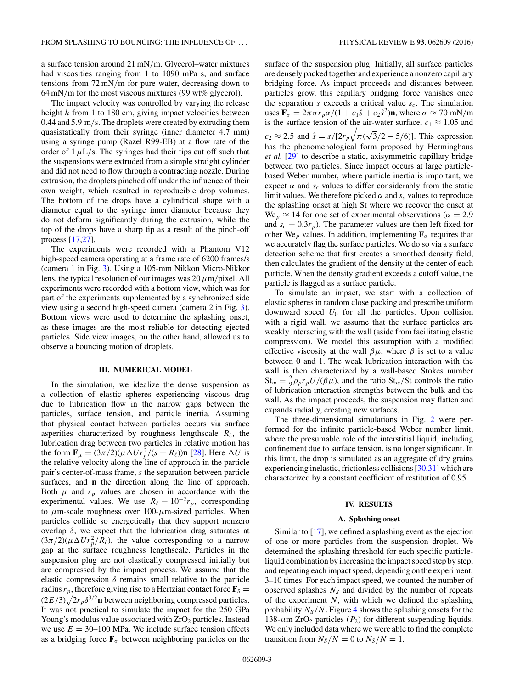<span id="page-2-0"></span>a surface tension around 21 mN*/*m. Glycerol–water mixtures had viscosities ranging from 1 to 1090 mPa s, and surface tensions from 72 mN*/*m for pure water, decreasing down to 64 mN*/*m for the most viscous mixtures (99 wt% glycerol).

The impact velocity was controlled by varying the release height *h* from 1 to 180 cm, giving impact velocities between 0.44 and 5*.*9 m*/*s. The droplets were created by extruding them quasistatically from their syringe (inner diameter 4.7 mm) using a syringe pump (Razel R99-EB) at a flow rate of the order of  $1 \mu L/s$ . The syringes had their tips cut off such that the suspensions were extruded from a simple straight cylinder and did not need to flow through a contracting nozzle. During extrusion, the droplets pinched off under the influence of their own weight, which resulted in reproducible drop volumes. The bottom of the drops have a cylindrical shape with a diameter equal to the syringe inner diameter because they do not deform significantly during the extrusion, while the top of the drops have a sharp tip as a result of the pinch-off process [\[17,27\]](#page-6-0).

The experiments were recorded with a Phantom V12 high-speed camera operating at a frame rate of 6200 frames/s (camera 1 in Fig. [3\)](#page-1-0). Using a 105-mm Nikkon Micro-Nikkor lens, the typical resolution of our images was 20*μ*m*/*pixel. All experiments were recorded with a bottom view, which was for part of the experiments supplemented by a synchronized side view using a second high-speed camera (camera 2 in Fig. [3\)](#page-1-0). Bottom views were used to determine the splashing onset, as these images are the most reliable for detecting ejected particles. Side view images, on the other hand, allowed us to observe a bouncing motion of droplets.

### **III. NUMERICAL MODEL**

In the simulation, we idealize the dense suspension as a collection of elastic spheres experiencing viscous drag due to lubrication flow in the narrow gaps between the particles, surface tension, and particle inertia. Assuming that physical contact between particles occurs via surface asperities characterized by roughness lengthscale  $R_{\ell}$ , the lubrication drag between two particles in relative motion has the form  $\mathbf{F}_{\mu} = (3\pi/2)(\mu \Delta U r_p^2/(s + R_\ell))\mathbf{n}$  [\[28\]](#page-6-0). Here  $\Delta U$  is the relative velocity along the line of approach in the particle pair's center-of-mass frame, *s* the separation between particle surfaces, and **n** the direction along the line of approach. Both  $\mu$  and  $r_p$  values are chosen in accordance with the experimental values. We use  $R_{\ell} = 10^{-2}r_p$ , corresponding to *μ*m-scale roughness over 100-*μ*m-sized particles. When particles collide so energetically that they support nonzero overlap *δ*, we expect that the lubrication drag saturates at  $(3\pi/2)(\mu \Delta Ur_p^2/R_\ell)$ , the value corresponding to a narrow gap at the surface roughness lengthscale. Particles in the suspension plug are not elastically compressed initially but are compressed by the impact process. We assume that the elastic compression *δ* remains small relative to the particle radius  $r_p$ , therefore giving rise to a Hertzian contact force  $\mathbf{F}_\delta$  =  $(2E/3)\sqrt{2r_p}\delta^{3/2}$ **n** between neighboring compressed particles. It was not practical to simulate the impact for the 250 GPa Young's modulus value associated with  $ZrO<sub>2</sub>$  particles. Instead we use  $E = 30 - 100$  MPa. We include surface tension effects as a bridging force  $\mathbf{F}_{\sigma}$  between neighboring particles on the

surface of the suspension plug. Initially, all surface particles are densely packed together and experience a nonzero capillary bridging force. As impact proceeds and distances between particles grow, this capillary bridging force vanishes once the separation  $s$  exceeds a critical value  $s_c$ . The simulation uses  $\mathbf{F}_{\sigma} = 2\pi \sigma r_p \alpha/(1 + c_1 \hat{s} + c_2 \hat{s}^2) \mathbf{n}$ , where  $\sigma \approx 70 \text{ mN/m}$ is the surface tension of the air-water surface,  $c_1 \approx 1.05$  and  $c_2 \approx 2.5$  and  $\hat{s} = s/[2r_p\sqrt{\pi(\sqrt{3}/2 - 5/6)}]$ . This expression has the phenomenological form proposed by Herminghaus *et al.* [\[29\]](#page-6-0) to describe a static, axisymmetric capillary bridge between two particles. Since impact occurs at large particlebased Weber number, where particle inertia is important, we expect  $\alpha$  and  $s_c$  values to differ considerably from the static limit values. We therefore picked  $\alpha$  and  $s_c$  values to reproduce the splashing onset at high St where we recover the onset at We<sub>p</sub>  $\approx$  14 for one set of experimental observations ( $\alpha$  = 2.9 and  $s_c = 0.3r_p$ ). The parameter values are then left fixed for other We<sub>p</sub> values. In addition, implementing  $\mathbf{F}_{\sigma}$  requires that we accurately flag the surface particles. We do so via a surface detection scheme that first creates a smoothed density field, then calculates the gradient of the density at the center of each particle. When the density gradient exceeds a cutoff value, the

particle is flagged as a surface particle. To simulate an impact, we start with a collection of elastic spheres in random close packing and prescribe uniform downward speed *U*<sup>0</sup> for all the particles. Upon collision with a rigid wall, we assume that the surface particles are weakly interacting with the wall (aside from facilitating elastic compression). We model this assumption with a modified effective viscosity at the wall  $\beta\mu$ , where  $\beta$  is set to a value between 0 and 1. The weak lubrication interaction with the wall is then characterized by a wall-based Stokes number  $St_w = \frac{2}{9} \rho_p r_p U/(\beta \mu)$ , and the ratio  $St_w/St$  controls the ratio of lubrication interaction strengths between the bulk and the wall. As the impact proceeds, the suspension may flatten and expands radially, creating new surfaces.

The three-dimensional simulations in Fig. [2](#page-1-0) were performed for the infinite particle-based Weber number limit, where the presumable role of the interstitial liquid, including confinement due to surface tension, is no longer significant. In this limit, the drop is simulated as an aggregate of dry grains experiencing inelastic, frictionless collisions [\[30,31\]](#page-6-0) which are characterized by a constant coefficient of restitution of 0.95.

#### **IV. RESULTS**

#### **A. Splashing onset**

Similar to [\[17\]](#page-6-0), we defined a splashing event as the ejection of one or more particles from the suspension droplet. We determined the splashing threshold for each specific particleliquid combination by increasing the impact speed step by step, and repeating each impact speed, depending on the experiment, 3–10 times. For each impact speed, we counted the number of observed splashes  $N<sub>S</sub>$  and divided by the number of repeats of the experiment *N*, with which we defined the splashing probability  $N_S/N$ . Figure [4](#page-3-0) shows the splashing onsets for the 138- $\mu$ m ZrO<sub>2</sub> particles ( $P_2$ ) for different suspending liquids. We only included data where we were able to find the complete transition from  $N_S/N = 0$  to  $N_S/N = 1$ .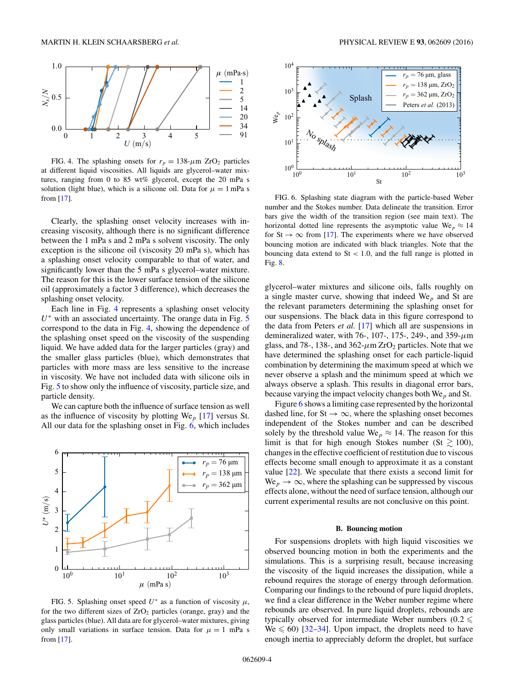<span id="page-3-0"></span>

FIG. 4. The splashing onsets for  $r_p = 138 \text{-} \mu \text{m}$  ZrO<sub>2</sub> particles at different liquid viscosities. All liquids are glycerol–water mixtures, ranging from 0 to 85 wt% glycerol, except the 20 mPa s solution (light blue), which is a silicone oil. Data for  $\mu = 1$  mPa s from [\[17\]](#page-6-0).

Clearly, the splashing onset velocity increases with increasing viscosity, although there is no significant difference between the 1 mPa s and 2 mPa s solvent viscosity. The only exception is the silicone oil (viscosity 20 mPa s), which has a splashing onset velocity comparable to that of water, and significantly lower than the 5 mPa s glycerol–water mixture. The reason for this is the lower surface tension of the silicone oil (approximately a factor 3 difference), which decreases the splashing onset velocity.

Each line in Fig. 4 represents a splashing onset velocity *U*<sup>∗</sup> with an associated uncertainty. The orange data in Fig. 5 correspond to the data in Fig. 4, showing the dependence of the splashing onset speed on the viscosity of the suspending liquid. We have added data for the larger particles (gray) and the smaller glass particles (blue), which demonstrates that particles with more mass are less sensitive to the increase in viscosity. We have not included data with silicone oils in Fig. 5 to show only the influence of viscosity, particle size, and particle density.

We can capture both the influence of surface tension as well as the influence of viscosity by plotting We*<sup>p</sup>* [\[17\]](#page-6-0) versus St. All our data for the splashing onset in Fig. 6, which includes



FIG. 5. Splashing onset speed  $U^*$  as a function of viscosity  $\mu$ , for the two different sizes of  $ZrO<sub>2</sub>$  particles (orange, gray) and the glass particles (blue). All data are for glycerol–water mixtures, giving only small variations in surface tension. Data for  $\mu = 1$  mPa s from [\[17\]](#page-6-0).



FIG. 6. Splashing state diagram with the particle-based Weber number and the Stokes number. Data delineate the transition. Error bars give the width of the transition region (see main text). The horizontal dotted line represents the asymptotic value  $\text{We}_p \approx 14$ for St  $\rightarrow \infty$  from [\[17\]](#page-6-0). The experiments where we have observed bouncing motion are indicated with black triangles. Note that the bouncing data extend to St *<* 1*.*0, and the full range is plotted in Fig. [8.](#page-4-0)

glycerol–water mixtures and silicone oils, falls roughly on a single master curve, showing that indeed We*<sup>p</sup>* and St are the relevant parameters determining the splashing onset for our suspensions. The black data in this figure correspond to the data from Peters *et al.* [\[17\]](#page-6-0) which all are suspensions in demineralized water, with 76-, 107-, 175-, 249-, and 359-*μ*m glass, and 78-, 138-, and 362- $\mu$ m ZrO<sub>2</sub> particles. Note that we have determined the splashing onset for each particle-liquid combination by determining the maximum speed at which we never observe a splash and the minimum speed at which we always observe a splash. This results in diagonal error bars, because varying the impact velocity changes both We*<sup>p</sup>* and St.

Figure 6 shows a limiting case represented by the horizontal dashed line, for St  $\rightarrow \infty$ , where the splashing onset becomes independent of the Stokes number and can be described solely by the threshold value We<sub>p</sub>  $\approx$  14. The reason for this limit is that for high enough Stokes number (St  $\gtrsim 100$ ), changes in the effective coefficient of restitution due to viscous effects become small enough to approximate it as a constant value [\[22\]](#page-6-0). We speculate that there exists a second limit for  $We_p \rightarrow \infty$ , where the splashing can be suppressed by viscous effects alone, without the need of surface tension, although our current experimental results are not conclusive on this point.

#### **B. Bouncing motion**

For suspensions droplets with high liquid viscosities we observed bouncing motion in both the experiments and the simulations. This is a surprising result, because increasing the viscosity of the liquid increases the dissipation, while a rebound requires the storage of energy through deformation. Comparing our findings to the rebound of pure liquid droplets, we find a clear difference in the Weber number regime where rebounds are observed. In pure liquid droplets, rebounds are typically observed for intermediate Weber numbers  $(0.2 \leq$  $W_e \le 60$ ) [\[32–34\]](#page-6-0). Upon impact, the droplets need to have enough inertia to appreciably deform the droplet, but surface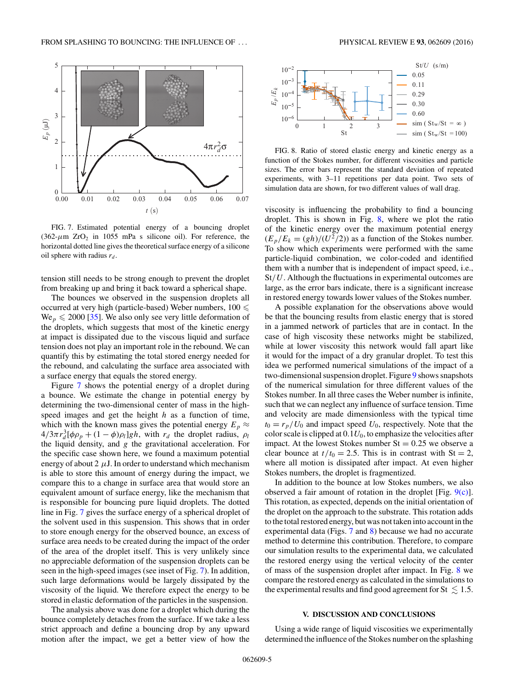<span id="page-4-0"></span>

FIG. 7. Estimated potential energy of a bouncing droplet  $(362-\mu m)$  ZrO<sub>2</sub> in 1055 mPa s silicone oil). For reference, the horizontal dotted line gives the theoretical surface energy of a silicone oil sphere with radius  $r_d$ .

tension still needs to be strong enough to prevent the droplet from breaking up and bring it back toward a spherical shape.

The bounces we observed in the suspension droplets all occurred at very high (particle-based) Weber numbers,  $100 \le$  $We_p \le 2000$  [\[35\]](#page-6-0). We also only see very little deformation of the droplets, which suggests that most of the kinetic energy at impact is dissipated due to the viscous liquid and surface tension does not play an important role in the rebound. We can quantify this by estimating the total stored energy needed for the rebound, and calculating the surface area associated with a surface energy that equals the stored energy.

Figure 7 shows the potential energy of a droplet during a bounce. We estimate the change in potential energy by determining the two-dimensional center of mass in the highspeed images and get the height *h* as a function of time, which with the known mass gives the potential energy  $E_p \approx$  $4/3\pi r_d^3[\phi \rho_p + (1-\phi)\rho_l]gh$ , with  $r_d$  the droplet radius,  $\rho_l$ the liquid density, and *g* the gravitational acceleration. For the specific case shown here, we found a maximum potential energy of about  $2 \mu J$ . In order to understand which mechanism is able to store this amount of energy during the impact, we compare this to a change in surface area that would store an equivalent amount of surface energy, like the mechanism that is responsible for bouncing pure liquid droplets. The dotted line in Fig. 7 gives the surface energy of a spherical droplet of the solvent used in this suspension. This shows that in order to store enough energy for the observed bounce, an excess of surface area needs to be created during the impact of the order of the area of the droplet itself. This is very unlikely since no appreciable deformation of the suspension droplets can be seen in the high-speed images (see inset of Fig. 7). In addition, such large deformations would be largely dissipated by the viscosity of the liquid. We therefore expect the energy to be stored in elastic deformation of the particles in the suspension.

The analysis above was done for a droplet which during the bounce completely detaches from the surface. If we take a less strict approach and define a bouncing drop by any upward motion after the impact, we get a better view of how the





FIG. 8. Ratio of stored elastic energy and kinetic energy as a function of the Stokes number, for different viscosities and particle sizes. The error bars represent the standard deviation of repeated experiments, with 3–11 repetitions per data point. Two sets of simulation data are shown, for two different values of wall drag.

viscosity is influencing the probability to find a bouncing droplet. This is shown in Fig. 8, where we plot the ratio of the kinetic energy over the maximum potential energy  $(E_p/E_k = (gh)/(U^2/2))$  as a function of the Stokes number. To show which experiments were performed with the same particle-liquid combination, we color-coded and identified them with a number that is independent of impact speed, i.e., St*/U*. Although the fluctuations in experimental outcomes are large, as the error bars indicate, there is a significant increase in restored energy towards lower values of the Stokes number.

A possible explanation for the observations above would be that the bouncing results from elastic energy that is stored in a jammed network of particles that are in contact. In the case of high viscosity these networks might be stabilized, while at lower viscosity this network would fall apart like it would for the impact of a dry granular droplet. To test this idea we performed numerical simulations of the impact of a two-dimensional suspension droplet. Figure [9](#page-5-0) shows snapshots of the numerical simulation for three different values of the Stokes number. In all three cases the Weber number is infinite, such that we can neglect any influence of surface tension. Time and velocity are made dimensionless with the typical time  $t_0 = r_p/U_0$  and impact speed  $U_0$ , respectively. Note that the color scale is clipped at  $0.1U_0$ , to emphasize the velocities after impact. At the lowest Stokes number  $St = 0.25$  we observe a clear bounce at  $t/t_0 = 2.5$ . This is in contrast with St = 2, where all motion is dissipated after impact. At even higher Stokes numbers, the droplet is fragmentized.

In addition to the bounce at low Stokes numbers, we also observed a fair amount of rotation in the droplet [Fig. [9\(c\)\]](#page-5-0). This rotation, as expected, depends on the initial orientation of the droplet on the approach to the substrate. This rotation adds to the total restored energy, but was not taken into account in the experimental data (Figs. 7 and 8) because we had no accurate method to determine this contribution. Therefore, to compare our simulation results to the experimental data, we calculated the restored energy using the vertical velocity of the center of mass of the suspension droplet after impact. In Fig. 8 we compare the restored energy as calculated in the simulations to the experimental results and find good agreement for St  $\leq 1.5$ .

## **V. DISCUSSION AND CONCLUSIONS**

Using a wide range of liquid viscosities we experimentally determined the influence of the Stokes number on the splashing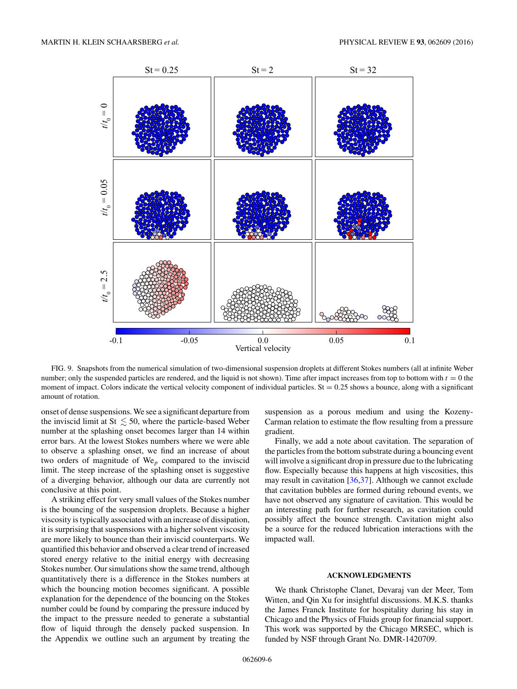<span id="page-5-0"></span>

FIG. 9. Snapshots from the numerical simulation of two-dimensional suspension droplets at different Stokes numbers (all at infinite Weber number; only the suspended particles are rendered, and the liquid is not shown). Time after impact increases from top to bottom with  $t = 0$  the moment of impact. Colors indicate the vertical velocity component of individual particles. St = 0.25 shows a bounce, along with a significant amount of rotation.

onset of dense suspensions. We see a significant departure from the inviscid limit at St  $\leq 50$ , where the particle-based Weber number at the splashing onset becomes larger than 14 within error bars. At the lowest Stokes numbers where we were able to observe a splashing onset, we find an increase of about two orders of magnitude of We*<sup>p</sup>* compared to the inviscid limit. The steep increase of the splashing onset is suggestive of a diverging behavior, although our data are currently not conclusive at this point.

A striking effect for very small values of the Stokes number is the bouncing of the suspension droplets. Because a higher viscosity is typically associated with an increase of dissipation, it is surprising that suspensions with a higher solvent viscosity are more likely to bounce than their inviscid counterparts. We quantified this behavior and observed a clear trend of increased stored energy relative to the initial energy with decreasing Stokes number. Our simulations show the same trend, although quantitatively there is a difference in the Stokes numbers at which the bouncing motion becomes significant. A possible explanation for the dependence of the bouncing on the Stokes number could be found by comparing the pressure induced by the impact to the pressure needed to generate a substantial flow of liquid through the densely packed suspension. In the Appendix we outline such an argument by treating the

suspension as a porous medium and using the Kozeny-Carman relation to estimate the flow resulting from a pressure gradient.

Finally, we add a note about cavitation. The separation of the particles from the bottom substrate during a bouncing event will involve a significant drop in pressure due to the lubricating flow. Especially because this happens at high viscosities, this may result in cavitation [\[36,37\]](#page-6-0). Although we cannot exclude that cavitation bubbles are formed during rebound events, we have not observed any signature of cavitation. This would be an interesting path for further research, as cavitation could possibly affect the bounce strength. Cavitation might also be a source for the reduced lubrication interactions with the impacted wall.

## **ACKNOWLEDGMENTS**

We thank Christophe Clanet, Devaraj van der Meer, Tom Witten, and Qin Xu for insightful discussions. M.K.S. thanks the James Franck Institute for hospitality during his stay in Chicago and the Physics of Fluids group for financial support. This work was supported by the Chicago MRSEC, which is funded by NSF through Grant No. DMR-1420709.